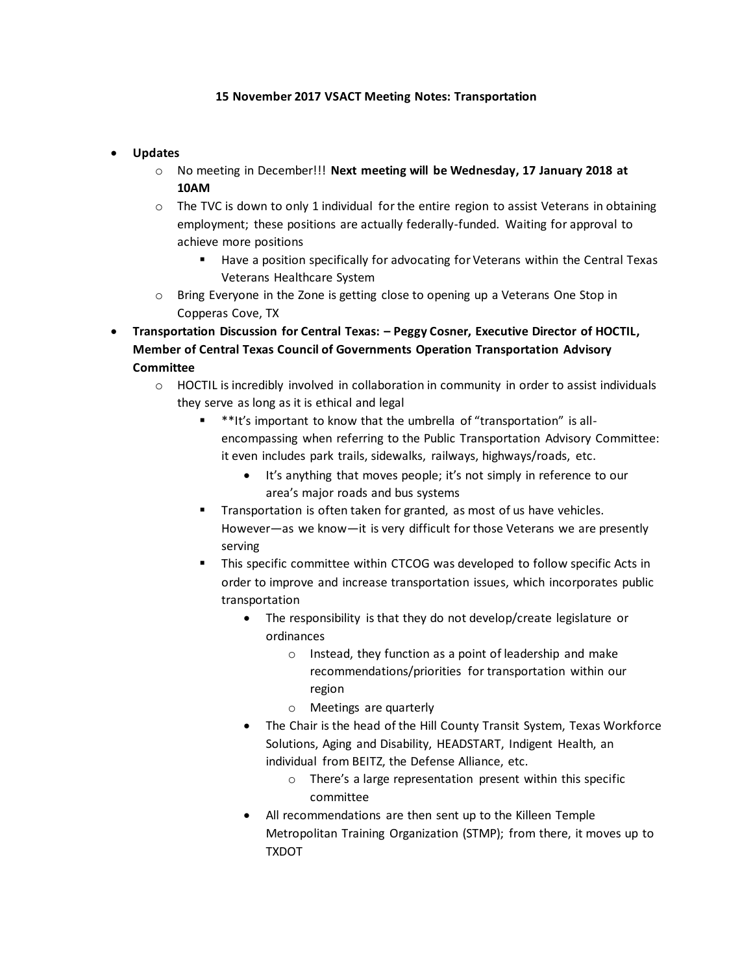## **15 November 2017 VSACT Meeting Notes: Transportation**

## • **Updates**

- o No meeting in December!!! **Next meeting will be Wednesday, 17 January 2018 at 10AM**
- $\circ$  The TVC is down to only 1 individual for the entire region to assist Veterans in obtaining employment; these positions are actually federally-funded. Waiting for approval to achieve more positions
	- Have a position specifically for advocating for Veterans within the Central Texas Veterans Healthcare System
- o Bring Everyone in the Zone is getting close to opening up a Veterans One Stop in Copperas Cove, TX
- **Transportation Discussion for Central Texas: – Peggy Cosner, Executive Director of HOCTIL, Member of Central Texas Council of Governments Operation Transportation Advisory Committee**
	- o HOCTIL is incredibly involved in collaboration in community in order to assist individuals they serve as long as it is ethical and legal
		- \*\*It's important to know that the umbrella of "transportation" is allencompassing when referring to the Public Transportation Advisory Committee: it even includes park trails, sidewalks, railways, highways/roads, etc.
			- It's anything that moves people; it's not simply in reference to our area's major roads and bus systems
		- Transportation is often taken for granted, as most of us have vehicles. However—as we know—it is very difficult for those Veterans we are presently serving
		- This specific committee within CTCOG was developed to follow specific Acts in order to improve and increase transportation issues, which incorporates public transportation
			- The responsibility is that they do not develop/create legislature or ordinances
				- o Instead, they function as a point of leadership and make recommendations/priorities for transportation within our region
				- o Meetings are quarterly
			- The Chair is the head of the Hill County Transit System, Texas Workforce Solutions, Aging and Disability, HEADSTART, Indigent Health, an individual from BEITZ, the Defense Alliance, etc.
				- o There's a large representation present within this specific committee
			- All recommendations are then sent up to the Killeen Temple Metropolitan Training Organization (STMP); from there, it moves up to TXDOT